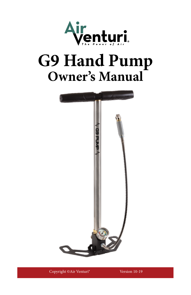

# **G9 Hand Pump Owner's Manual**



Copyright ©Air Venturi® Version 10-19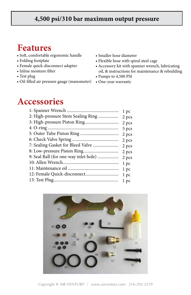#### **4,500 psi/310 bar maximum output pressure**

#### **Features**

- Soft, comfortable ergonomic handle
- Folding footplate
- Female quick-disconnect adapter
- Inline moisture filter
- Test plug
- Oil-filled air pressure gauge (manometer)
- Smaller hose diameter
- Flexible hose with spiral steel cage
- Accessory kit with spanner wrench, lubricating oil, & instructions for maintenance & rebuilding
- Pumps to 4,500 PSI
- One-year warranty

#### **Accessories**

|                                       | l pc  |
|---------------------------------------|-------|
| 2: High-pressure Stem Sealing Ring    | 2 pcs |
|                                       | 2 pcs |
|                                       | 5 pcs |
|                                       | 2 pcs |
|                                       | 2 pcs |
| 7: Sealing Gasket for Bleed Valve     | 2 pcs |
|                                       | 2 pcs |
| 9: Seal Ball (for one-way inlet hole) | 2 pcs |
|                                       | l pc  |
|                                       | 1 pc  |
|                                       | 1 pc  |
|                                       | 1 pc  |
|                                       |       |

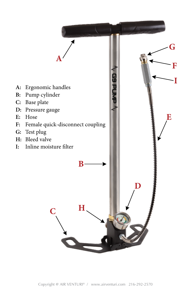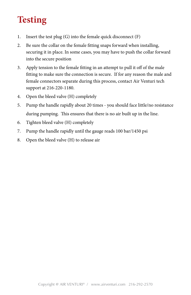# **Testing**

- 1. Insert the test plug (G) into the female quick disconnect (F)
- 2. Be sure the collar on the female fitting snaps forward when installing, securing it in place. In some cases, you may have to push the collar forward into the secure position
- 3. Apply tension to the female fitting in an attempt to pull it off of the male fitting to make sure the connection is secure. If for any reason the male and female connectors separate during this process, contact Air Venturi tech support at 216-220-1180.
- 4. Open the bleed valve (H) completely
- 5. Pump the handle rapidly about 20 times you should face little/no resistance during pumping. This ensures that there is no air built up in the line.
- 6. Tighten bleed valve (H) completely
- 7. Pump the handle rapidly until the gauge reads 100 bar/1450 psi
- 8. Open the bleed valve (H) to release air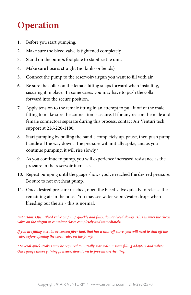## **Operation**

- 1. Before you start pumping:
- 2. Make sure the bleed valve is tightened completely.
- 3. Stand on the pump's footplate to stabilize the unit.
- 4. Make sure hose is straight (no kinks or bends)
- 5. Connect the pump to the reservoir/airgun you want to fill with air.
- 6. Be sure the collar on the female fitting snaps forward when installing, securing it in place. In some cases, you may have to push the collar forward into the secure position.
- 7. Apply tension to the female fitting in an attempt to pull it off of the male fitting to make sure the connection is secure. If for any reason the male and female connectors separate during this process, contact Air Venturi tech support at 216-220-1180.
- 8. Start pumping by pulling the handle completely up, pause, then push pump handle all the way down. The pressure will initially spike, and as you continue pumping, it will rise slowly.\*
- 9. As you continue to pump, you will experience increased resistance as the pressure in the reservoir increases.
- 10. Repeat pumping until the gauge shows you've reached the desired pressure. Be sure to not overheat pump.
- 11. Once desired pressure reached, open the bleed valve quickly to release the remaining air in the hose. You may see water vapor/water drops when bleeding out the air - this is normal.

*Important: Open Bleed valve on pump quickly and fully, do not bleed slowly. This ensures the check valve on the airgun or container closes completely and immediately.*

*If you are filling a scuba or carbon fiber tank that has a shut-off valve, you will need to shut off the valve before opening the bleed valve on the pump.*

*\* Several quick strokes may be required to initially seat seals in some filling adapters and valves. Once gauge shows gaining pressure, slow down to prevent overheating.*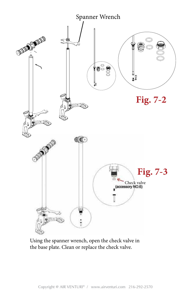

Using the spanner wrench, open the check valve in the base plate. Clean or replace the check valve.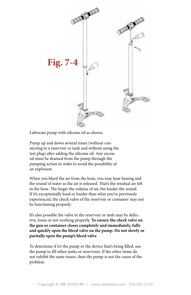

Lubricate pump with silicone oil as shown. Lubricate pump with silicone oil as shown.

Pump up and down several times (without con-Pump up and down several times (without connecting to a reservoir or tank and without using the necting to a reservoir or tank and without using the test plug) after adding the silicone oil. Any excess test plug) after adding the silicone oil. Any excess oil must be drained from the pump through the oil must be drained from the pump through the pump in order to avoid the possibility of the possibility of the possibility of the possibility of the possibility of the possibility of the possibility of the possibility of the possibility of the possibility of the possi pumping action in order to avoid the possibility of an explosion.

When you bleed the air from the hose, you may hear hissing and the sound of water as the air is released. That's the residual air left in the hose. The larger the volume of air, the louder the sound. If it's exceptionally loud or louder than what you've previously experienced, the check valve of the reservoir or container may not be functioning properly.

It's also possible the valve in the reservoir or tank may be defective, loose or not working properly. **To ensure the check valve on the gun or container closes completely and immediately, fully and quickly open the bleed valve on the pump. Do not slowly or partially open the pump's bleed valve**.

To determine if it's the pump or the device that's being filled, use the pump to fill other tanks or reservoirs. If the other items do not exhibit the same issues, then the pump is not the cause of the problem.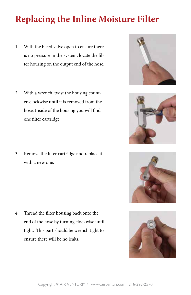### **Replacing the Inline Moisture Filter**

- 1. With the bleed valve open to ensure there is no pressure in the system, locate the filter housing on the output end of the hose.
- 2. With a wrench, twist the housing counter-clockwise until it is removed from the hose. Inside of the housing you will find one filter cartridge.
- 3. Remove the filter cartridge and replace it with a new one.

4. Thread the filter housing back onto the end of the hose by turning clockwise until tight. This part should be wrench tight to ensure there will be no leaks.







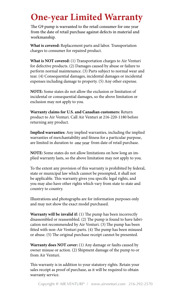### **Two-year limited warranty One-year Limited Warranty**

The G9 pump is warranted to the retail consumer for one year from the date of retail purchase against defects in material and workmanship.

**What is covered:** Replacement parts and labor. Transportation charges to consumer for repaired product.

**What is NOT covered:** (1) Transportation charges to Air Venturi for defective products. (2) Damages caused by abuse or failure to perform normal maintenance. (3) Parts subject to normal wear and tear. (4) Consequential damages, incidental damages or incidental expenses including damage to property. (5) Any other expense.

**NOTE:** Some states do not allow the exclusion or limitation of incidental or consequential damages, so the above limitation or exclusion may not apply to you.

**Warranty claims for U.S. and Canadian customers:** Return product to Air Venturi. Call Air Venturi at 216-220-1180 before returning any product.

**Implied warranties:** Any implied warranties, including the implied warranties of merchantability and fitness for a particular purpose, are limited in duration to one year from date of retail purchase.

**NOTE:** Some states do not allow limitations on how long an implied warranty lasts, so the above limitation may not apply to you.

To the extent any provision of this warranty is prohibited by federal, state or municipal law which cannot be preempted, it shall not be applicable. This warranty gives you specific legal rights, and you may also have other rights which vary from state to state and country to country.

Illustrations and photographs are for information purposes only and may not show the exact model purchased.

**Warranty will be invalid if:** (1) The pump has been incorrectly disassembled or reassembled. (2) The pump is found to have lubrication not recommended by Air Venturi. (3) The pump has been fitted with non-Air Venturi parts. (4) The pump has been misused or abuse. (5) The original purchase receipt cannot be presented.

**Warranty does NOT cover:** (1) Any damage or faults caused by owner misuse or action. (2) Shipment damage of the pump to or from Air Venturi.

This warranty is in addition to your statutory rights. Retain your sales receipt as proof of purchase, as it will be required to obtain warranty service.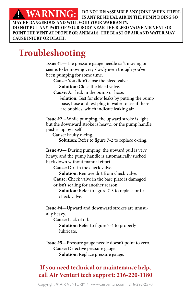**A MARNIMG.** DO NOT DISASSEMBLE ANY JOINT WHEN THERE **WARNING:** BO NOT DISASSEMBLE ANY JOIN NARNING: IS ANY RESIDUAL AIR IN THE PU **THE BLAST OF AIR AND WILL VOID YOUR WARRANTY. IS ANY RESIDUAL AIR IN THE PUMP! DOING SO DO NOT PUT ANY PART OF YOUR BODY NEAR THE BLEED VALVE AIR VENT OR POINT THE VENT AT PEOPLE OR ANIMALS. THE BLAST OF AIR AND WATER MAY CAUSE INJURY OR DEATH.**

# **Troubleshooting Troubleshooting**

**Issue #1—**The pressure gauge needle isn't moving or seems to be moving very slowly even though you've been pumping for some time.

**Cause:** You didn't close the bleed valve.

**Solution:** Close the bleed valve.

**Cause:** Air leak in the pump or hose.

**Solution:** Test for slow leaks by putting the pump base, hose and test plug in water to see if there are bubbles, which indicate leaking air.

**Issue #2—**While pumping, the upward stroke is light **Issue #2** --While pumping, the upward stroke is light **but the downward stroke is heavy...or the pump handle** dle pushes up by itself. pushes up by itself.

**Cause:** Faulty o-ring.  **Cause:** Faulty o-ring. **Solution:** Refer to figure 7-2 to replace o-ring.

**Issue #3—** During pumping, the upward pull is very heavy, and the pump handle is automatically sucked back down without manual effort.

**Cause:** Dirt in the check valve.

**Solution:** Remove dirt from check valve.

**Cause:** Check valve in the base plate is damaged or isn't sealing for another reason.

 **Solution:** Refer to figure 7-3 to replace or fix check valve.

**Issue #4—**Upward and downward strokes are unusually heavy.

**Cause:** Lack of oil.

 **Solution:** Refer to figure 7-4 to properly lubricate.

**Issue #5—**Pressure gauge needle doesn't point to zero. **Cause:** Defective pressure gauge. **Solution:** Replace pressure gauge.

**If you need technical or If you need technical or maintenance help, maintenance help, call call Air Venturi tech support: 216-220-1180**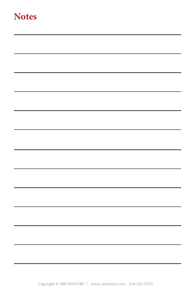#### **Notes**